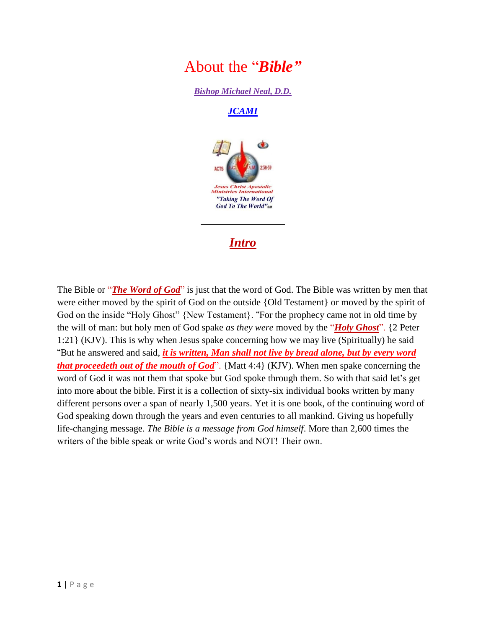

*Bishop Michael Neal, D.D.*

*[JCAMI](http://jcami.org/)*



# *Intro*

The Bible or "*The Word of God*" is just that the word of God. The Bible was written by men that were either moved by the spirit of God on the outside {Old Testament} or moved by the spirit of God on the inside "Holy Ghost" {New Testament}. **"**For the prophecy came not in old time by the will of man: but holy men of God spake *as they were* moved by the "*Holy Ghost*". {2 Peter 1:21} (KJV). This is why when Jesus spake concerning how we may live (Spiritually) he said **"**But he answered and said, *it is written, Man shall not live by bread alone, but by every word that proceedeth out of the mouth of God*". {Matt 4:4} (KJV). When men spake concerning the word of God it was not them that spoke but God spoke through them. So with that said let's get into more about the bible. First it is a collection of sixty-six individual books written by many different persons over a span of nearly 1,500 years. Yet it is one book, of the continuing word of God speaking down through the years and even centuries to all mankind. Giving us hopefully life-changing message. *The Bible is a message from God himself*. More than 2,600 times the writers of the bible speak or write God's words and NOT! Their own.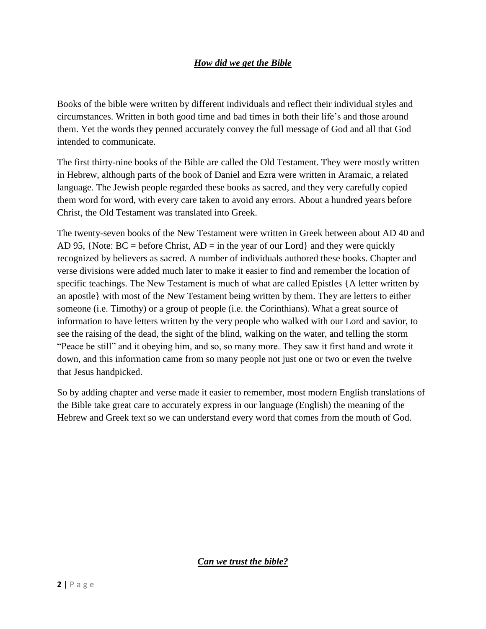## *How did we get the Bible*

Books of the bible were written by different individuals and reflect their individual styles and circumstances. Written in both good time and bad times in both their life's and those around them. Yet the words they penned accurately convey the full message of God and all that God intended to communicate.

The first thirty-nine books of the Bible are called the Old Testament. They were mostly written in Hebrew, although parts of the book of Daniel and Ezra were written in Aramaic, a related language. The Jewish people regarded these books as sacred, and they very carefully copied them word for word, with every care taken to avoid any errors. About a hundred years before Christ, the Old Testament was translated into Greek.

The twenty-seven books of the New Testament were written in Greek between about AD 40 and AD 95, {Note:  $BC = before Christ, AD = in the year of our Lord$ } and they were quickly recognized by believers as sacred. A number of individuals authored these books. Chapter and verse divisions were added much later to make it easier to find and remember the location of specific teachings. The New Testament is much of what are called Epistles {A letter written by an apostle} with most of the New Testament being written by them. They are letters to either someone (i.e. Timothy) or a group of people (i.e. the Corinthians). What a great source of information to have letters written by the very people who walked with our Lord and savior, to see the raising of the dead, the sight of the blind, walking on the water, and telling the storm "Peace be still" and it obeying him, and so, so many more. They saw it first hand and wrote it down, and this information came from so many people not just one or two or even the twelve that Jesus handpicked.

So by adding chapter and verse made it easier to remember, most modern English translations of the Bible take great care to accurately express in our language (English) the meaning of the Hebrew and Greek text so we can understand every word that comes from the mouth of God.

*Can we trust the bible?*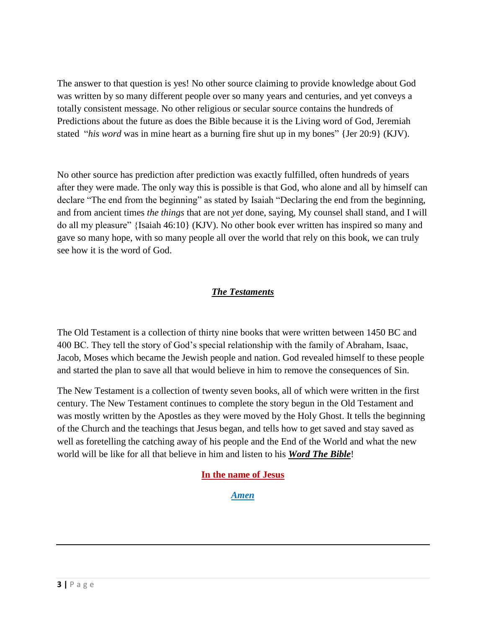The answer to that question is yes! No other source claiming to provide knowledge about God was written by so many different people over so many years and centuries, and yet conveys a totally consistent message. No other religious or secular source contains the hundreds of Predictions about the future as does the Bible because it is the Living word of God, Jeremiah stated "*his word* was in mine heart as a burning fire shut up in my bones" {Jer 20:9} (KJV).

No other source has prediction after prediction was exactly fulfilled, often hundreds of years after they were made. The only way this is possible is that God, who alone and all by himself can declare "The end from the beginning" as stated by Isaiah "Declaring the end from the beginning, and from ancient times *the things* that are not *yet* done, saying, My counsel shall stand, and I will do all my pleasure" {Isaiah 46:10} (KJV). No other book ever written has inspired so many and gave so many hope, with so many people all over the world that rely on this book, we can truly see how it is the word of God.

## *The Testaments*

The Old Testament is a collection of thirty nine books that were written between 1450 BC and 400 BC. They tell the story of God's special relationship with the family of Abraham, Isaac, Jacob, Moses which became the Jewish people and nation. God revealed himself to these people and started the plan to save all that would believe in him to remove the consequences of Sin.

The New Testament is a collection of twenty seven books, all of which were written in the first century. The New Testament continues to complete the story begun in the Old Testament and was mostly written by the Apostles as they were moved by the Holy Ghost. It tells the beginning of the Church and the teachings that Jesus began, and tells how to get saved and stay saved as well as foretelling the catching away of his people and the End of the World and what the new world will be like for all that believe in him and listen to his *Word The Bible*!

#### **In the name of Jesus**

*Amen*